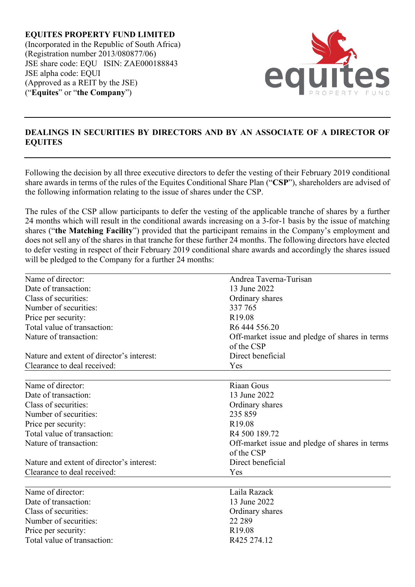**EQUITES PROPERTY FUND LIMITED** (Incorporated in the Republic of South Africa) (Registration number 2013/080877/06) JSE share code: EQU ISIN: ZAE000188843 JSE alpha code: EQUI (Approved as a REIT by the JSE) ("**Equites**" or "**the Company**")



## **DEALINGS IN SECURITIES BY DIRECTORS AND BY AN ASSOCIATE OF A DIRECTOR OF EQUITES**

Following the decision by all three executive directors to defer the vesting of their February 2019 conditional share awards in terms of the rules of the Equites Conditional Share Plan ("**CSP**"), shareholders are advised of the following information relating to the issue of shares under the CSP.

The rules of the CSP allow participants to defer the vesting of the applicable tranche of shares by a further 24 months which will result in the conditional awards increasing on a 3-for-1 basis by the issue of matching shares ("**the Matching Facility**") provided that the participant remains in the Company's employment and does not sell any of the shares in that tranche for these further 24 months. The following directors have elected to defer vesting in respect of their February 2019 conditional share awards and accordingly the shares issued will be pledged to the Company for a further 24 months:

| Name of director:                         | Andrea Taverna-Turisan                                       |
|-------------------------------------------|--------------------------------------------------------------|
| Date of transaction:                      | 13 June 2022                                                 |
| Class of securities:                      | Ordinary shares                                              |
| Number of securities:                     | 337 765                                                      |
| Price per security:                       | R <sub>19.08</sub>                                           |
| Total value of transaction:               | R <sub>6</sub> 444 556.20                                    |
| Nature of transaction:                    | Off-market issue and pledge of shares in terms               |
|                                           | of the CSP                                                   |
| Nature and extent of director's interest: | Direct beneficial                                            |
| Clearance to deal received:               | Yes                                                          |
| Name of director:                         | Riaan Gous                                                   |
| Date of transaction:                      | 13 June 2022                                                 |
| Class of securities:                      | Ordinary shares                                              |
| Number of securities:                     | 235 859                                                      |
| Price per security:                       | R <sub>19.08</sub>                                           |
| Total value of transaction:               | R4 500 189.72                                                |
| Nature of transaction:                    | Off-market issue and pledge of shares in terms<br>of the CSP |
| Nature and extent of director's interest: | Direct beneficial                                            |
| Clearance to deal received:               | Yes                                                          |
| Name of director:                         | Laila Razack                                                 |
| Date of transaction:                      | 13 June 2022                                                 |
| Class of securities:                      | Ordinary shares                                              |
| Number of securities:                     | 22 289                                                       |
| Price per security:                       | R <sub>19.08</sub>                                           |
| Total value of transaction:               | R425 274.12                                                  |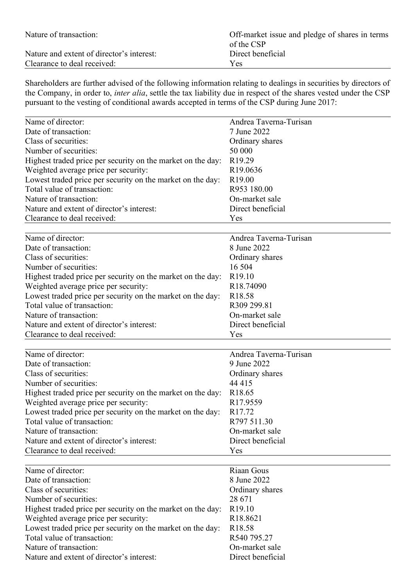| Nature of transaction:                    | Off-market issue and pledge of shares in terms<br>of the CSP |
|-------------------------------------------|--------------------------------------------------------------|
| Nature and extent of director's interest: | Direct beneficial                                            |
| Clearance to deal received:               | <b>Yes</b>                                                   |

Shareholders are further advised of the following information relating to dealings in securities by directors of the Company, in order to, *inter alia*, settle the tax liability due in respect of the shares vested under the CSP pursuant to the vesting of conditional awards accepted in terms of the CSP during June 2017:

| Name of director:                                           | Andrea Taverna-Turisan |
|-------------------------------------------------------------|------------------------|
| Date of transaction:                                        | 7 June 2022            |
| Class of securities:                                        | Ordinary shares        |
| Number of securities:                                       | 50 000                 |
| Highest traded price per security on the market on the day: | R <sub>19.29</sub>     |
| Weighted average price per security:                        | R19.0636               |
| Lowest traded price per security on the market on the day:  | R <sub>19.00</sub>     |
| Total value of transaction:                                 | R953 180.00            |
| Nature of transaction:                                      | On-market sale         |
| Nature and extent of director's interest:                   | Direct beneficial      |
| Clearance to deal received:                                 | Yes                    |
|                                                             |                        |
| Name of director:                                           | Andrea Taverna-Turisan |
| Date of transaction:                                        | 8 June 2022            |
| Class of securities:                                        | Ordinary shares        |
| Number of securities:                                       | 16 504                 |
| Highest traded price per security on the market on the day: | R <sub>19.10</sub>     |
| Weighted average price per security:                        | R18.74090              |
| Lowest traded price per security on the market on the day:  | R <sub>18.58</sub>     |
| Total value of transaction:                                 | R309 299.81            |
| Nature of transaction:                                      | On-market sale         |
| Nature and extent of director's interest:                   | Direct beneficial      |
| Clearance to deal received:                                 | Yes                    |
|                                                             |                        |
| Name of director:                                           | Andrea Taverna-Turisan |
| Date of transaction:                                        | 9 June 2022            |
| Class of securities:                                        | Ordinary shares        |
| Number of securities:                                       | 44 415                 |
| Highest traded price per security on the market on the day: | R18.65                 |
| Weighted average price per security:                        | R17.9559               |
| Lowest traded price per security on the market on the day:  | R17.72                 |
| Total value of transaction:                                 | R797 511.30            |
| Nature of transaction:                                      | On-market sale         |
| Nature and extent of director's interest:                   | Direct beneficial      |
| Clearance to deal received:                                 | Yes                    |
| Name of director:                                           | Riaan Gous             |
| Date of transaction:                                        | 8 June 2022            |

| Name of director:                                           | Kiaan Gous           |
|-------------------------------------------------------------|----------------------|
| Date of transaction:                                        | 8 June 2022          |
| Class of securities:                                        | Ordinary shares      |
| Number of securities:                                       | 28 671               |
| Highest traded price per security on the market on the day: | R <sub>19.10</sub>   |
| Weighted average price per security:                        | R <sub>18.8621</sub> |
| Lowest traded price per security on the market on the day:  | R <sub>18.58</sub>   |
| Total value of transaction:                                 | R540 795.27          |
| Nature of transaction:                                      | On-market sale       |
| Nature and extent of director's interest:                   | Direct beneficial    |
|                                                             |                      |